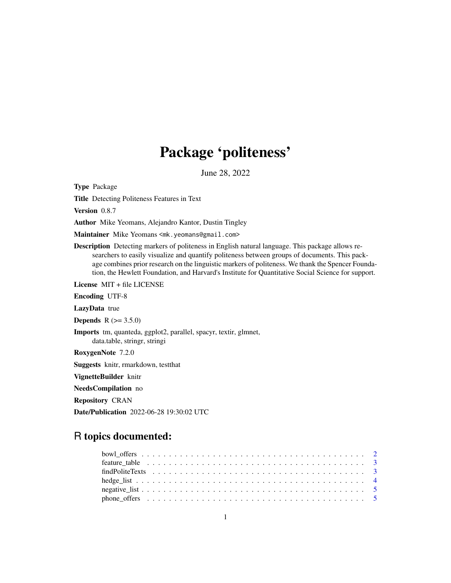# Package 'politeness'

June 28, 2022

<span id="page-0-0"></span>Type Package

Title Detecting Politeness Features in Text

Version 0.8.7

Author Mike Yeomans, Alejandro Kantor, Dustin Tingley

Maintainer Mike Yeomans <mk.yeomans@gmail.com>

Description Detecting markers of politeness in English natural language. This package allows researchers to easily visualize and quantify politeness between groups of documents. This package combines prior research on the linguistic markers of politeness. We thank the Spencer Foundation, the Hewlett Foundation, and Harvard's Institute for Quantitative Social Science for support.

License MIT + file LICENSE

Encoding UTF-8

LazyData true

**Depends**  $R (= 3.5.0)$ 

Imports tm, quanteda, ggplot2, parallel, spacyr, textir, glmnet, data.table, stringr, stringi

RoxygenNote 7.2.0

Suggests knitr, rmarkdown, testthat

VignetteBuilder knitr

NeedsCompilation no

Repository CRAN

Date/Publication 2022-06-28 19:30:02 UTC

# R topics documented: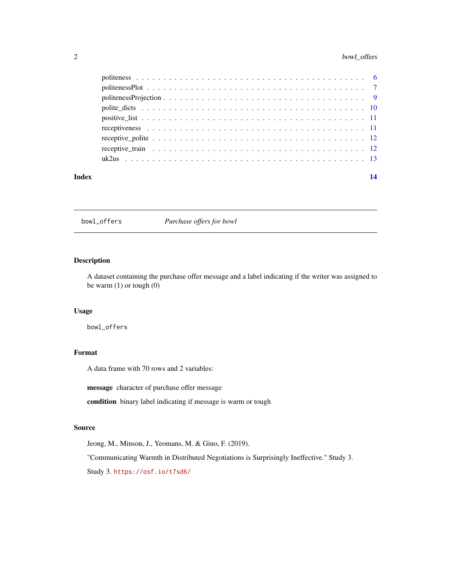# <span id="page-1-0"></span>2 bowl\_offers

| Index | 14 |
|-------|----|
|       |    |
|       |    |
|       |    |
|       |    |
|       |    |
|       |    |
|       |    |
|       |    |
|       |    |

bowl\_offers *Purchase offers for bowl*

# Description

A dataset containing the purchase offer message and a label indicating if the writer was assigned to be warm (1) or tough (0)

# Usage

bowl\_offers

# Format

A data frame with 70 rows and 2 variables:

message character of purchase offer message

condition binary label indicating if message is warm or tough

#### Source

Jeong, M., Minson, J., Yeomans, M. & Gino, F. (2019).

"Communicating Warmth in Distributed Negotiations is Surprisingly Ineffective." Study 3. Study 3. <https://osf.io/t7sd6/>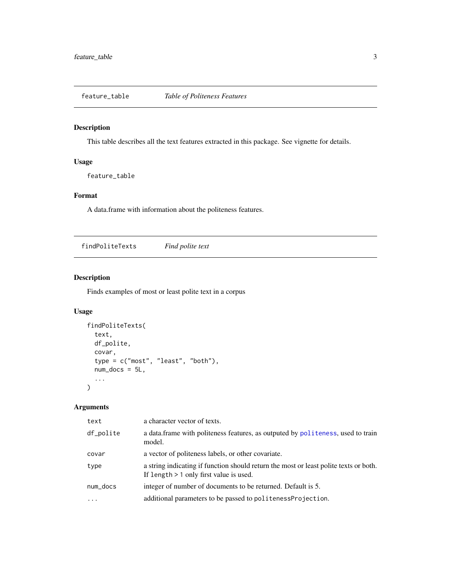<span id="page-2-1"></span><span id="page-2-0"></span>feature\_table *Table of Politeness Features*

# Description

This table describes all the text features extracted in this package. See vignette for details.

# Usage

feature\_table

# Format

A data.frame with information about the politeness features.

findPoliteTexts *Find polite text*

# Description

Finds examples of most or least polite text in a corpus

# Usage

```
findPoliteTexts(
  text,
 df_polite,
 covar,
  type = c("most", "least", "both"),
 num_docs = 5L,
  ...
)
```
# Arguments

| text      | a character vector of texts.                                                                                                       |
|-----------|------------------------------------------------------------------------------------------------------------------------------------|
| df_polite | a data frame with politeness features, as outputed by politeness, used to train<br>model.                                          |
| covar     | a vector of politeness labels, or other covariate.                                                                                 |
| type      | a string indicating if function should return the most or least polite texts or both.<br>If length $> 1$ only first value is used. |
| num_docs  | integer of number of documents to be returned. Default is 5.                                                                       |
| $\ddotsc$ | additional parameters to be passed to politeness Projection.                                                                       |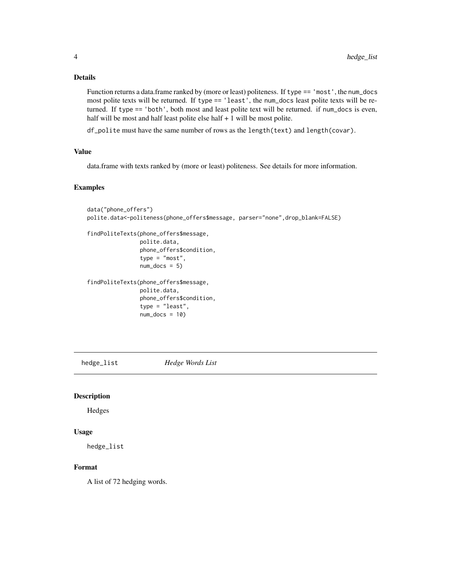# <span id="page-3-0"></span>Details

Function returns a data.frame ranked by (more or least) politeness. If type == 'most', the num\_docs most polite texts will be returned. If type == 'least', the num\_docs least polite texts will be returned. If type == 'both', both most and least polite text will be returned. if num\_docs is even, half will be most and half least polite else half + 1 will be most polite.

df\_polite must have the same number of rows as the length(text) and length(covar).

#### Value

data.frame with texts ranked by (more or least) politeness. See details for more information.

### Examples

```
data("phone_offers")
polite.data<-politeness(phone_offers$message, parser="none",drop_blank=FALSE)
findPoliteTexts(phone_offers$message,
                polite.data,
                phone_offers$condition,
                type = "most",
                num\_docs = 5)findPoliteTexts(phone_offers$message,
                polite.data,
                phone_offers$condition,
                type = "least",
                num\_docs = 10)
```
hedge\_list *Hedge Words List*

# Description

Hedges

#### Usage

hedge\_list

# Format

A list of 72 hedging words.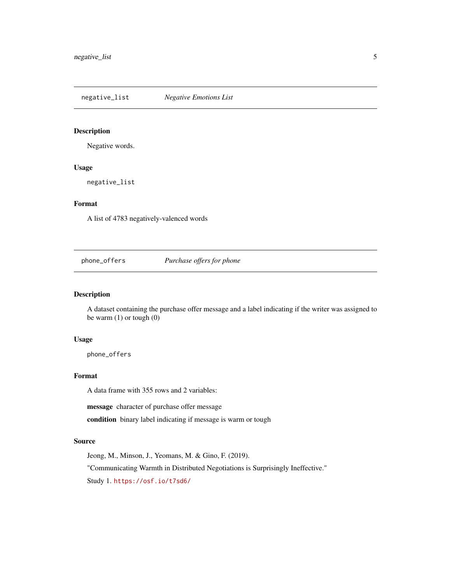<span id="page-4-0"></span>negative\_list *Negative Emotions List*

# Description

Negative words.

# Usage

negative\_list

# Format

A list of 4783 negatively-valenced words

phone\_offers *Purchase offers for phone*

### Description

A dataset containing the purchase offer message and a label indicating if the writer was assigned to be warm (1) or tough (0)

# Usage

phone\_offers

# Format

A data frame with 355 rows and 2 variables:

message character of purchase offer message

condition binary label indicating if message is warm or tough

#### Source

Jeong, M., Minson, J., Yeomans, M. & Gino, F. (2019). "Communicating Warmth in Distributed Negotiations is Surprisingly Ineffective." Study 1. <https://osf.io/t7sd6/>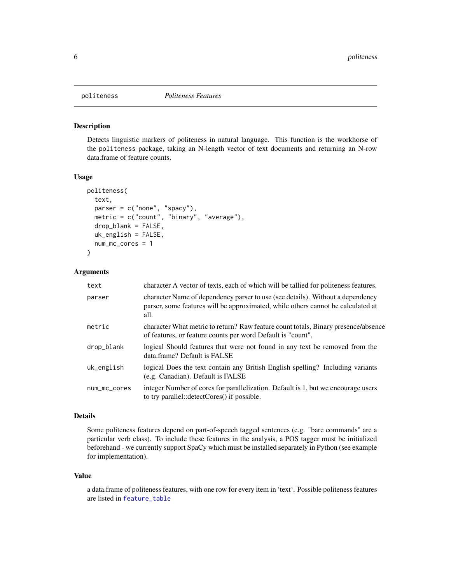<span id="page-5-1"></span><span id="page-5-0"></span>

#### Description

Detects linguistic markers of politeness in natural language. This function is the workhorse of the politeness package, taking an N-length vector of text documents and returning an N-row data.frame of feature counts.

#### Usage

```
politeness(
  text,
  parser = c("none", "spacy"),
 metric = c("count", "binary", "average"),drop_blank = FALSE,
  uk_english = FALSE,
  num_mc_cores = 1
)
```
#### Arguments

| text         | character A vector of texts, each of which will be tallied for politeness features.                                                                                        |
|--------------|----------------------------------------------------------------------------------------------------------------------------------------------------------------------------|
| parser       | character Name of dependency parser to use (see details). Without a dependency<br>parser, some features will be approximated, while others cannot be calculated at<br>all. |
| metric       | character What metric to return? Raw feature count totals, Binary presence/absence<br>of features, or feature counts per word Default is "count".                          |
| drop_blank   | logical Should features that were not found in any text be removed from the<br>data.frame? Default is FALSE                                                                |
| uk_english   | logical Does the text contain any British English spelling? Including variants<br>(e.g. Canadian). Default is FALSE                                                        |
| num_mc_cores | integer Number of cores for parallelization. Default is 1, but we encourage users<br>to try parallel::detectCores() if possible.                                           |

#### Details

Some politeness features depend on part-of-speech tagged sentences (e.g. "bare commands" are a particular verb class). To include these features in the analysis, a POS tagger must be initialized beforehand - we currently support SpaCy which must be installed separately in Python (see example for implementation).

#### Value

a data.frame of politeness features, with one row for every item in 'text'. Possible politeness features are listed in [feature\\_table](#page-2-1)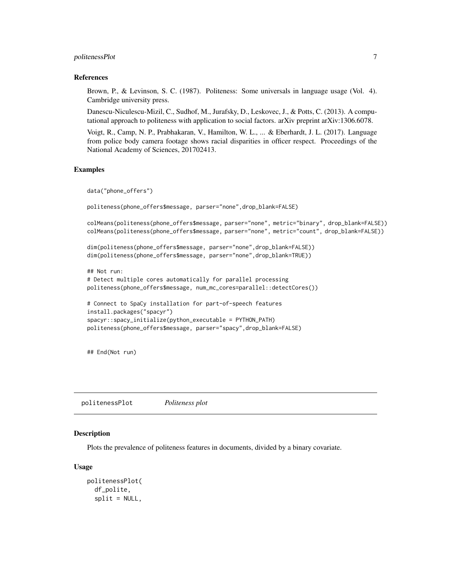# <span id="page-6-0"></span>politenessPlot 7

#### References

Brown, P., & Levinson, S. C. (1987). Politeness: Some universals in language usage (Vol. 4). Cambridge university press.

Danescu-Niculescu-Mizil, C., Sudhof, M., Jurafsky, D., Leskovec, J., & Potts, C. (2013). A computational approach to politeness with application to social factors. arXiv preprint arXiv:1306.6078.

Voigt, R., Camp, N. P., Prabhakaran, V., Hamilton, W. L., ... & Eberhardt, J. L. (2017). Language from police body camera footage shows racial disparities in officer respect. Proceedings of the National Academy of Sciences, 201702413.

### Examples

```
data("phone_offers")
politeness(phone_offers$message, parser="none",drop_blank=FALSE)
colMeans(politeness(phone_offers$message, parser="none", metric="binary", drop_blank=FALSE))
colMeans(politeness(phone_offers$message, parser="none", metric="count", drop_blank=FALSE))
dim(politeness(phone_offers$message, parser="none",drop_blank=FALSE))
dim(politeness(phone_offers$message, parser="none",drop_blank=TRUE))
## Not run:
# Detect multiple cores automatically for parallel processing
politeness(phone_offers$message, num_mc_cores=parallel::detectCores())
# Connect to SpaCy installation for part-of-speech features
install.packages("spacyr")
spacyr::spacy_initialize(python_executable = PYTHON_PATH)
politeness(phone_offers$message, parser="spacy",drop_blank=FALSE)
```
## End(Not run)

politenessPlot *Politeness plot*

### Description

Plots the prevalence of politeness features in documents, divided by a binary covariate.

#### Usage

```
politenessPlot(
  df_polite,
  split = NULL,
```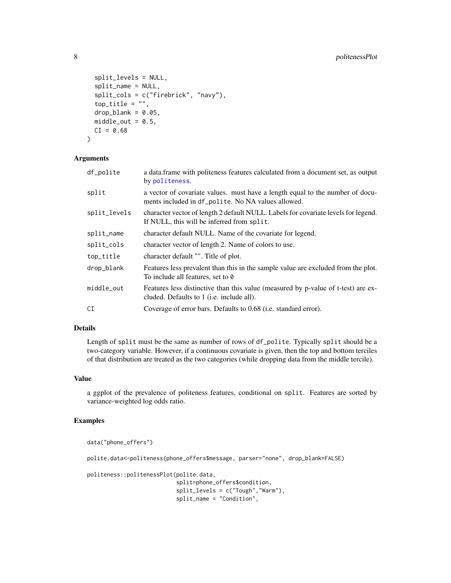```
split_levels = NULL,
  split_name = NULL,
  split_cols = c("firebrick", "navy"),
  top\_title = "",drop\_blank = 0.05,
 middle\_out = 0.5,
 CI = 0.68\lambda
```
#### Arguments

| df_polite    | a data frame with politeness features calculated from a document set, as output<br>by politeness.                                      |
|--------------|----------------------------------------------------------------------------------------------------------------------------------------|
| split        | a vector of covariate values. must have a length equal to the number of docu-<br>ments included in df_polite. No NA values allowed.    |
| split_levels | character vector of length 2 default NULL. Labels for covariate levels for legend.<br>If NULL, this will be inferred from split.       |
| split_name   | character default NULL. Name of the covariate for legend.                                                                              |
| split_cols   | character vector of length 2. Name of colors to use.                                                                                   |
| top_title    | character default "". Title of plot.                                                                                                   |
| drop_blank   | Features less prevalent than this in the sample value are excluded from the plot.<br>To include all features, set to 0                 |
| middle_out   | Features less distinctive than this value (measured by p-value of t-test) are ex-<br>cluded. Defaults to 1 ( <i>i.e.</i> include all). |
| CI           | Coverage of error bars. Defaults to 0.68 (i.e. standard error).                                                                        |
|              |                                                                                                                                        |

# Details

Length of split must be the same as number of rows of df\_polite. Typically split should be a two-category variable. However, if a continuous covariate is given, then the top and bottom terciles of that distribution are treated as the two categories (while dropping data from the middle tercile).

#### Value

a ggplot of the prevalence of politeness features, conditional on split. Features are sorted by variance-weighted log odds ratio.

# Examples

```
data("phone_offers")
polite.data<-politeness(phone_offers$message, parser="none", drop_blank=FALSE)
politeness::politenessPlot(polite.data,
                           split=phone_offers$condition,
                           split_levels = c("Tough","Warm"),
                           split_name = "Condition",
```
<span id="page-7-0"></span>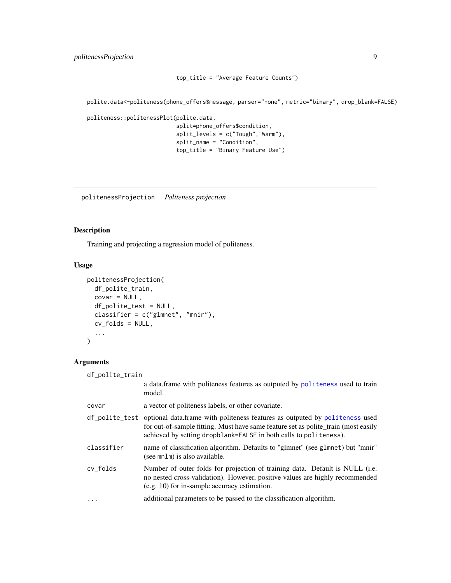```
top_title = "Average Feature Counts")
```
<span id="page-8-0"></span>polite.data<-politeness(phone\_offers\$message, parser="none", metric="binary", drop\_blank=FALSE)

```
politeness::politenessPlot(polite.data,
```

```
split=phone_offers$condition,
split_levels = c("Tough","Warm"),
split_name = "Condition",
top_title = "Binary Feature Use")
```
politenessProjection *Politeness projection*

# Description

Training and projecting a regression model of politeness.

# Usage

```
politenessProjection(
 df_polite_train,
 covar = NULL,df_polite_test = NULL,
 classifier = c("glmnet", "mnir"),
 cv_folds = NULL,
  ...
\lambda
```
# Arguments

| df_polite_train |                                                                                                                                                                                                                                                       |
|-----------------|-------------------------------------------------------------------------------------------------------------------------------------------------------------------------------------------------------------------------------------------------------|
|                 | a data frame with politeness features as outputed by politeness used to train<br>model.                                                                                                                                                               |
| covar           | a vector of politeness labels, or other covariate.                                                                                                                                                                                                    |
|                 | df_polite_test_optional_data.frame_with_politeness_features_as_outputed_by_politeness_used<br>for out-of-sample fitting. Must have same feature set as polite_train (most easily<br>achieved by setting dropblank=FALSE in both calls to politeness). |
| classifier      | name of classification algorithm. Defaults to "glmnet" (see glmnet) but "mnir"<br>(see mnlm) is also available.                                                                                                                                       |
| cy folds        | Number of outer folds for projection of training data. Default is NULL (i.e.<br>no nested cross-validation). However, positive values are highly recommended<br>(e.g. 10) for in-sample accuracy estimation.                                          |
| .               | additional parameters to be passed to the classification algorithm.                                                                                                                                                                                   |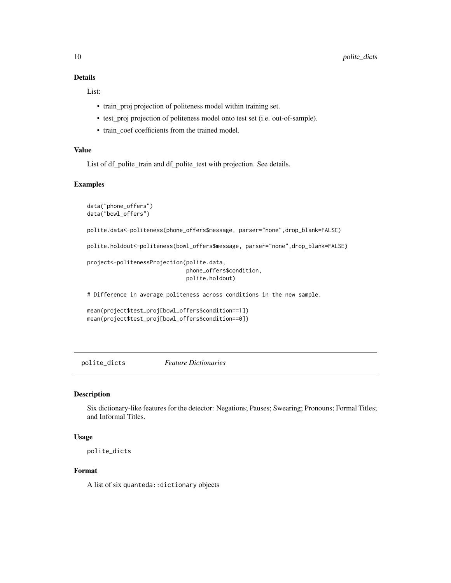# <span id="page-9-0"></span>Details

List:

- train\_proj projection of politeness model within training set.
- test\_proj projection of politeness model onto test set (i.e. out-of-sample).
- train\_coef coefficients from the trained model.

# Value

List of df\_polite\_train and df\_polite\_test with projection. See details.

#### Examples

```
data("phone_offers")
data("bowl_offers")
polite.data<-politeness(phone_offers$message, parser="none",drop_blank=FALSE)
polite.holdout<-politeness(bowl_offers$message, parser="none",drop_blank=FALSE)
project<-politenessProjection(polite.data,
                              phone_offers$condition,
                              polite.holdout)
# Difference in average politeness across conditions in the new sample.
mean(project$test_proj[bowl_offers$condition==1])
mean(project$test_proj[bowl_offers$condition==0])
```
polite\_dicts *Feature Dictionaries*

# Description

Six dictionary-like features for the detector: Negations; Pauses; Swearing; Pronouns; Formal Titles; and Informal Titles.

# Usage

polite\_dicts

# Format

A list of six quanteda::dictionary objects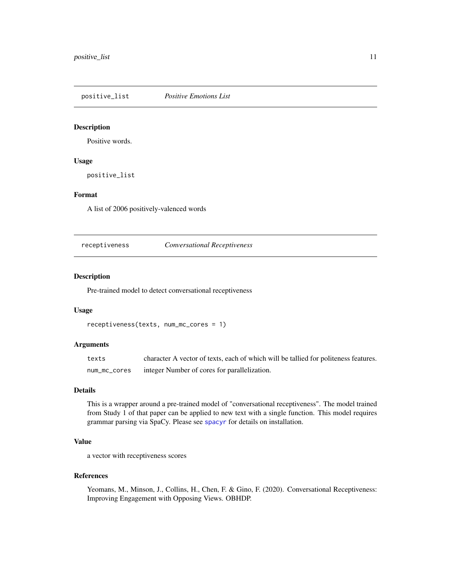<span id="page-10-0"></span>positive\_list *Positive Emotions List*

# Description

Positive words.

# Usage

positive\_list

# Format

A list of 2006 positively-valenced words

receptiveness *Conversational Receptiveness*

# Description

Pre-trained model to detect conversational receptiveness

# Usage

```
receptiveness(texts, num_mc_cores = 1)
```
# Arguments

| texts        | character A vector of texts, each of which will be tallied for politeness features. |
|--------------|-------------------------------------------------------------------------------------|
| num_mc_cores | integer Number of cores for parallelization.                                        |

#### Details

This is a wrapper around a pre-trained model of "conversational receptiveness". The model trained from Study 1 of that paper can be applied to new text with a single function. This model requires grammar parsing via SpaCy. Please see [spacyr](#page-0-0) for details on installation.

# Value

a vector with receptiveness scores

#### References

Yeomans, M., Minson, J., Collins, H., Chen, F. & Gino, F. (2020). Conversational Receptiveness: Improving Engagement with Opposing Views. OBHDP.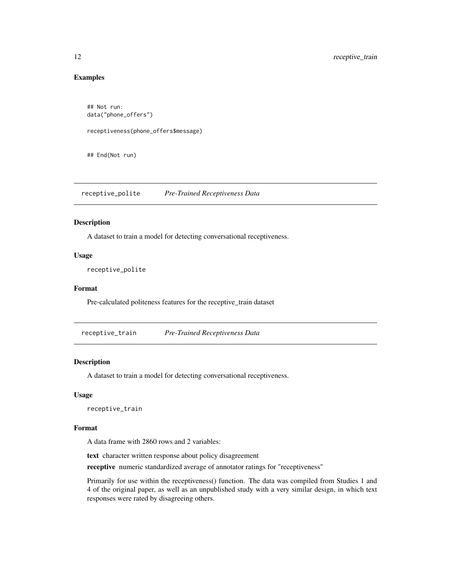# Examples

```
## Not run:
data("phone_offers")
receptiveness(phone_offers$message)
```
## End(Not run)

receptive\_polite *Pre-Trained Receptiveness Data*

# Description

A dataset to train a model for detecting conversational receptiveness.

# Usage

receptive\_polite

# Format

Pre-calculated politeness features for the receptive\_train dataset

receptive\_train *Pre-Trained Receptiveness Data*

# Description

A dataset to train a model for detecting conversational receptiveness.

#### Usage

receptive\_train

#### Format

A data frame with 2860 rows and 2 variables:

text character written response about policy disagreement

receptive numeric standardized average of annotator ratings for "receptiveness"

Primarily for use within the receptiveness() function. The data was compiled from Studies 1 and 4 of the original paper, as well as an unpublished study with a very similar design, in which text responses were rated by disagreeing others.

<span id="page-11-0"></span>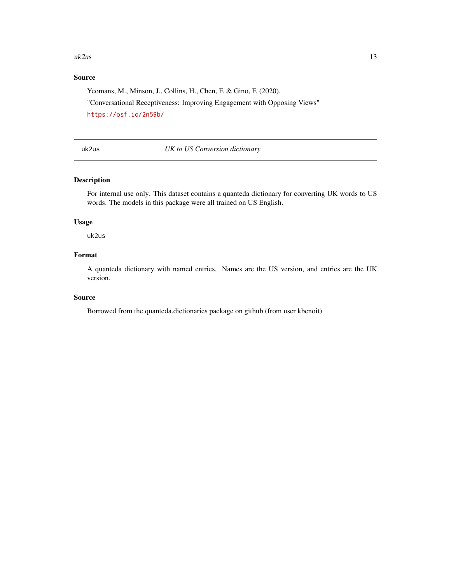#### <span id="page-12-0"></span> $uk2us$  13

# Source

Yeomans, M., Minson, J., Collins, H., Chen, F. & Gino, F. (2020).

"Conversational Receptiveness: Improving Engagement with Opposing Views" <https://osf.io/2n59b/>

uk2us *UK to US Conversion dictionary*

# Description

For internal use only. This dataset contains a quanteda dictionary for converting UK words to US words. The models in this package were all trained on US English.

### Usage

uk2us

# Format

A quanteda dictionary with named entries. Names are the US version, and entries are the UK version.

#### Source

Borrowed from the quanteda.dictionaries package on github (from user kbenoit)